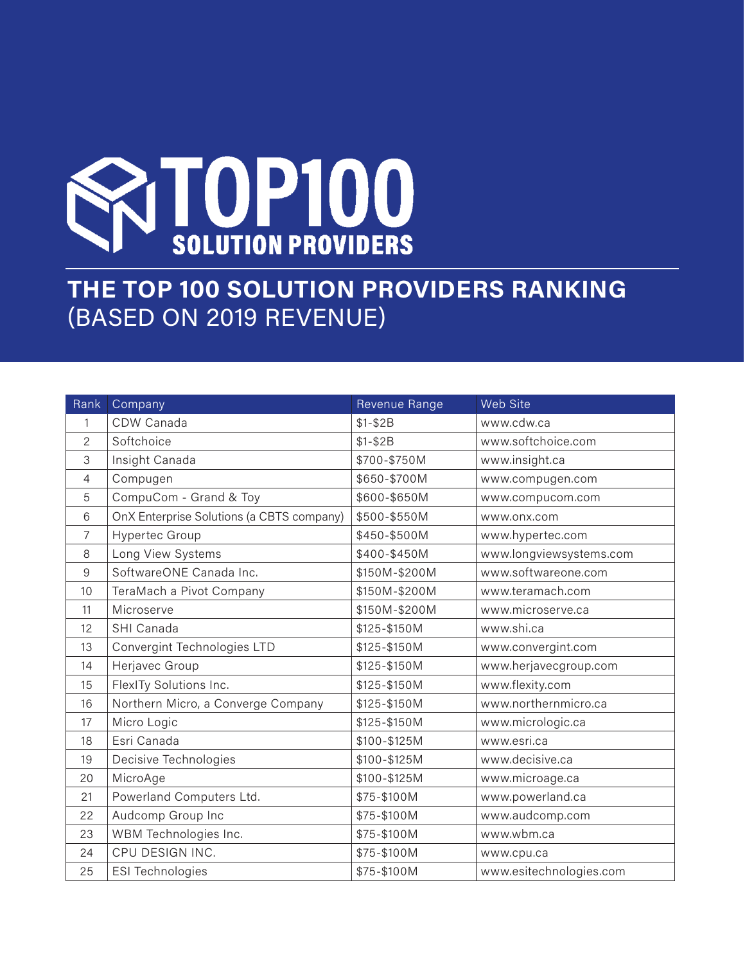

## **THE TOP 100 SOLUTION PROVIDERS RANKING** (BASED ON 2019 REVENUE)

| Rank           | Company                                   | Revenue Range | Web Site                |
|----------------|-------------------------------------------|---------------|-------------------------|
| 1              | CDW Canada                                | $$1 - $2B$    | www.cdw.ca              |
| 2              | Softchoice                                | $$1 - $2B$    | www.softchoice.com      |
| 3              | Insight Canada                            | \$700-\$750M  | www.insight.ca          |
| $\overline{4}$ | Compugen                                  | \$650-\$700M  | www.compugen.com        |
| 5              | CompuCom - Grand & Toy                    | \$600-\$650M  | www.compucom.com        |
| 6              | OnX Enterprise Solutions (a CBTS company) | \$500-\$550M  | www.onx.com             |
| 7              | Hypertec Group                            | \$450-\$500M  | www.hypertec.com        |
| 8              | Long View Systems                         | \$400-\$450M  | www.longviewsystems.com |
| 9              | SoftwareONE Canada Inc.                   | \$150M-\$200M | www.softwareone.com     |
| 10             | TeraMach a Pivot Company                  | \$150M-\$200M | www.teramach.com        |
| 11             | Microserve                                | \$150M-\$200M | www.microserve.ca       |
| 12             | SHI Canada                                | \$125-\$150M  | www.shi.ca              |
| 13             | Convergint Technologies LTD               | \$125-\$150M  | www.convergint.com      |
| 14             | Herjavec Group                            | \$125-\$150M  | www.herjavecgroup.com   |
| 15             | FlexITy Solutions Inc.                    | \$125-\$150M  | www.flexity.com         |
| 16             | Northern Micro, a Converge Company        | \$125-\$150M  | www.northernmicro.ca    |
| 17             | Micro Logic                               | \$125-\$150M  | www.micrologic.ca       |
| 18             | Esri Canada                               | \$100-\$125M  | www.esri.ca             |
| 19             | Decisive Technologies                     | \$100-\$125M  | www.decisive.ca         |
| 20             | MicroAge                                  | \$100-\$125M  | www.microage.ca         |
| 21             | Powerland Computers Ltd.                  | \$75-\$100M   | www.powerland.ca        |
| 22             | Audcomp Group Inc                         | \$75-\$100M   | www.audcomp.com         |
| 23             | WBM Technologies Inc.                     | \$75-\$100M   | www.wbm.ca              |
| 24             | CPU DESIGN INC.                           | \$75-\$100M   | www.cpu.ca              |
| 25             | <b>ESI Technologies</b>                   | \$75-\$100M   | www.esitechnologies.com |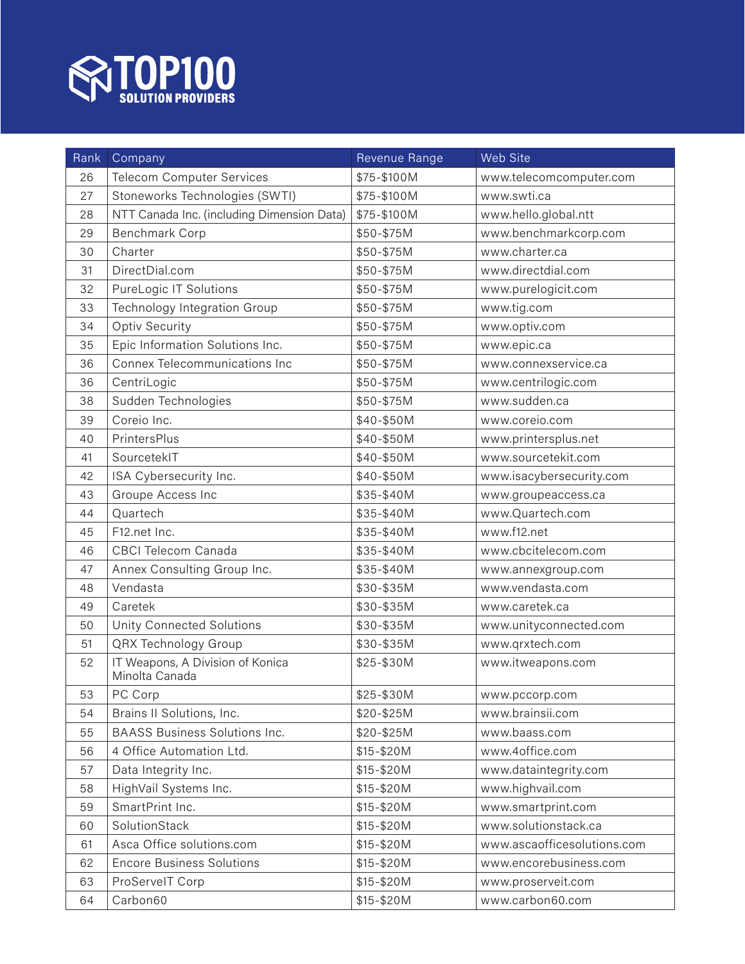

| Rank | Company                                            | Revenue Range | Web Site                    |
|------|----------------------------------------------------|---------------|-----------------------------|
| 26   | <b>Telecom Computer Services</b>                   | \$75-\$100M   | www.telecomcomputer.com     |
| 27   | Stoneworks Technologies (SWTI)                     | \$75-\$100M   | www.swti.ca                 |
| 28   | NTT Canada Inc. (including Dimension Data)         | \$75-\$100M   | www.hello.global.ntt        |
| 29   | Benchmark Corp                                     | \$50-\$75M    | www.benchmarkcorp.com       |
| 30   | Charter                                            | \$50-\$75M    | www.charter.ca              |
| 31   | DirectDial.com                                     | \$50-\$75M    | www.directdial.com          |
| 32   | <b>PureLogic IT Solutions</b>                      | \$50-\$75M    | www.purelogicit.com         |
| 33   | Technology Integration Group                       | \$50-\$75M    | www.tig.com                 |
| 34   | Optiv Security                                     | \$50-\$75M    | www.optiv.com               |
| 35   | Epic Information Solutions Inc.                    | \$50-\$75M    | www.epic.ca                 |
| 36   | Connex Telecommunications Inc                      | \$50-\$75M    | www.connexservice.ca        |
| 36   | CentriLogic                                        | \$50-\$75M    | www.centrilogic.com         |
| 38   | Sudden Technologies                                | \$50-\$75M    | www.sudden.ca               |
| 39   | Coreio Inc.                                        | \$40-\$50M    | www.coreio.com              |
| 40   | PrintersPlus                                       | \$40-\$50M    | www.printersplus.net        |
| 41   | SourcetekIT                                        | \$40-\$50M    | www.sourcetekit.com         |
| 42   | ISA Cybersecurity Inc.                             | \$40-\$50M    | www.isacybersecurity.com    |
| 43   | Groupe Access Inc                                  | \$35-\$40M    | www.groupeaccess.ca         |
| 44   | Quartech                                           | \$35-\$40M    | www.Quartech.com            |
| 45   | F12.net Inc.                                       | \$35-\$40M    | www.f12.net                 |
| 46   | <b>CBCI</b> Telecom Canada                         | \$35-\$40M    | www.cbcitelecom.com         |
| 47   | Annex Consulting Group Inc.                        | \$35-\$40M    | www.annexgroup.com          |
| 48   | Vendasta                                           | \$30-\$35M    | www.vendasta.com            |
| 49   | Caretek                                            | \$30-\$35M    | www.caretek.ca              |
| 50   | <b>Unity Connected Solutions</b>                   | \$30-\$35M    | www.unityconnected.com      |
| 51   | <b>QRX Technology Group</b>                        | \$30-\$35M    | www.qrxtech.com             |
| 52   | IT Weapons, A Division of Konica<br>Minolta Canada | \$25-\$30M    | www.itweapons.com           |
| 53   | PC Corp                                            | \$25-\$30M    | www.pccorp.com              |
| 54   | Brains II Solutions, Inc.                          | \$20-\$25M    | www.brainsii.com            |
| 55   | <b>BAASS Business Solutions Inc.</b>               | \$20-\$25M    | www.baass.com               |
| 56   | 4 Office Automation Ltd.                           | \$15-\$20M    | www.4office.com             |
| 57   | Data Integrity Inc.                                | \$15-\$20M    | www.dataintegrity.com       |
| 58   | HighVail Systems Inc.                              | \$15-\$20M    | www.highvail.com            |
| 59   | SmartPrint Inc.                                    | \$15-\$20M    | www.smartprint.com          |
| 60   | SolutionStack                                      | \$15-\$20M    | www.solutionstack.ca        |
| 61   | Asca Office solutions.com                          | \$15-\$20M    | www.ascaofficesolutions.com |
| 62   | <b>Encore Business Solutions</b>                   | \$15-\$20M    | www.encorebusiness.com      |
| 63   | ProServelT Corp                                    | \$15-\$20M    | www.proserveit.com          |
| 64   | Carbon60                                           | \$15-\$20M    | www.carbon60.com            |